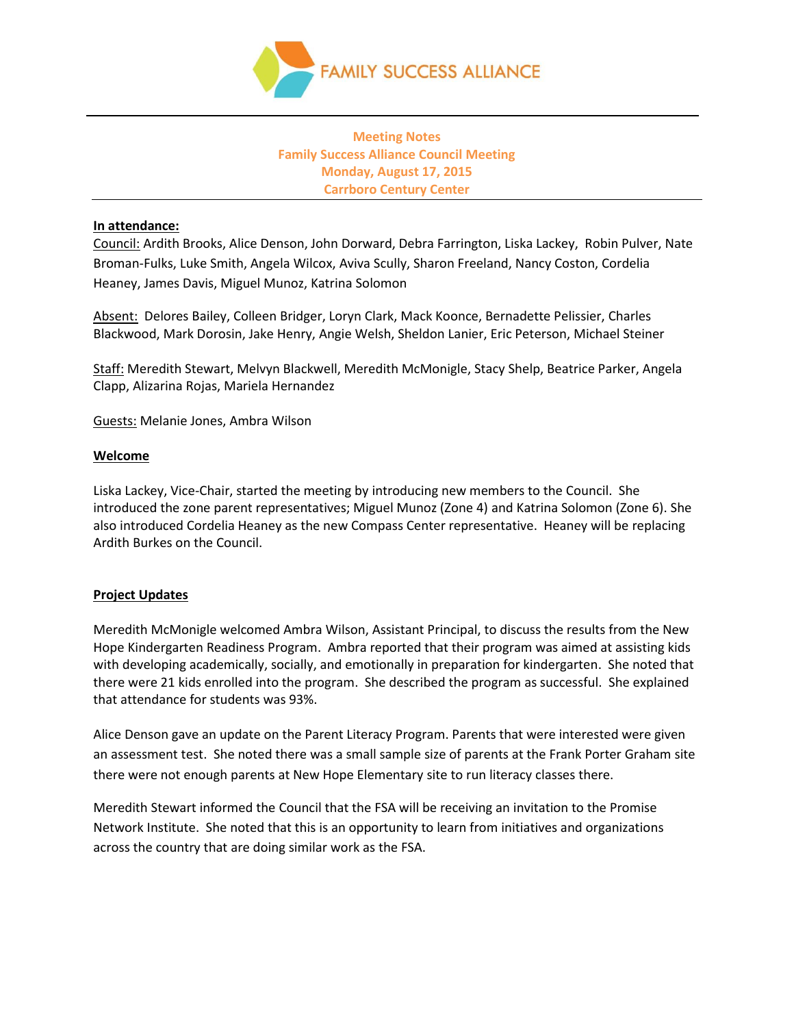

# **Meeting Notes Family Success Alliance Council Meeting Monday, August 17, 2015 Carrboro Century Center**

#### **In attendance:**

Council: Ardith Brooks, Alice Denson, John Dorward, Debra Farrington, Liska Lackey, Robin Pulver, Nate Broman-Fulks, Luke Smith, Angela Wilcox, Aviva Scully, Sharon Freeland, Nancy Coston, Cordelia Heaney, James Davis, Miguel Munoz, Katrina Solomon

Absent: Delores Bailey, Colleen Bridger, Loryn Clark, Mack Koonce, Bernadette Pelissier, Charles Blackwood, Mark Dorosin, Jake Henry, Angie Welsh, Sheldon Lanier, Eric Peterson, Michael Steiner

Staff: Meredith Stewart, Melvyn Blackwell, Meredith McMonigle, Stacy Shelp, Beatrice Parker, Angela Clapp, Alizarina Rojas, Mariela Hernandez

Guests: Melanie Jones, Ambra Wilson

#### **Welcome**

Liska Lackey, Vice-Chair, started the meeting by introducing new members to the Council. She introduced the zone parent representatives; Miguel Munoz (Zone 4) and Katrina Solomon (Zone 6). She also introduced Cordelia Heaney as the new Compass Center representative. Heaney will be replacing Ardith Burkes on the Council.

### **Project Updates**

Meredith McMonigle welcomed Ambra Wilson, Assistant Principal, to discuss the results from the New Hope Kindergarten Readiness Program. Ambra reported that their program was aimed at assisting kids with developing academically, socially, and emotionally in preparation for kindergarten. She noted that there were 21 kids enrolled into the program. She described the program as successful. She explained that attendance for students was 93%.

Alice Denson gave an update on the Parent Literacy Program. Parents that were interested were given an assessment test. She noted there was a small sample size of parents at the Frank Porter Graham site there were not enough parents at New Hope Elementary site to run literacy classes there.

Meredith Stewart informed the Council that the FSA will be receiving an invitation to the Promise Network Institute. She noted that this is an opportunity to learn from initiatives and organizations across the country that are doing similar work as the FSA.